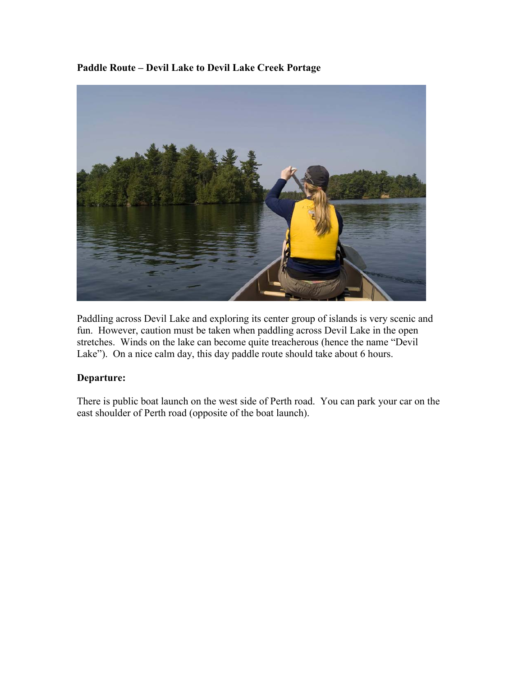**Paddle Route – Devil Lake to Devil Lake Creek Portage** 



Paddling across Devil Lake and exploring its center group of islands is very scenic and fun. However, caution must be taken when paddling across Devil Lake in the open stretches. Winds on the lake can become quite treacherous (hence the name "Devil Lake"). On a nice calm day, this day paddle route should take about 6 hours.

## **Departure:**

There is public boat launch on the west side of Perth road. You can park your car on the east shoulder of Perth road (opposite of the boat launch).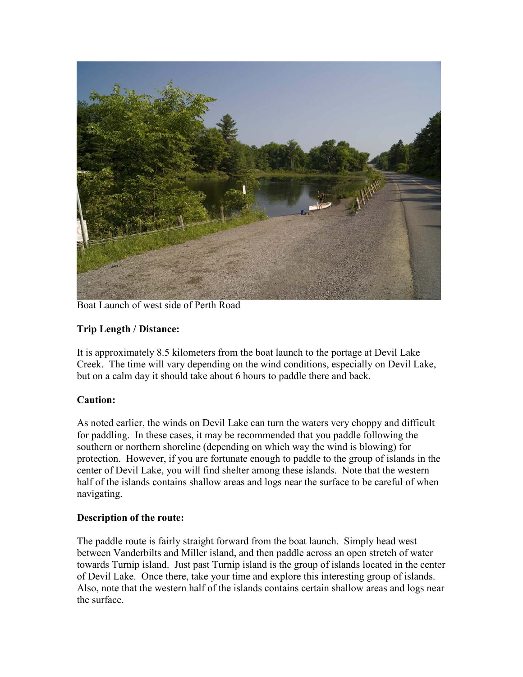

Boat Launch of west side of Perth Road

# **Trip Length / Distance:**

It is approximately 8.5 kilometers from the boat launch to the portage at Devil Lake Creek. The time will vary depending on the wind conditions, especially on Devil Lake, but on a calm day it should take about 6 hours to paddle there and back.

## **Caution:**

As noted earlier, the winds on Devil Lake can turn the waters very choppy and difficult for paddling. In these cases, it may be recommended that you paddle following the southern or northern shoreline (depending on which way the wind is blowing) for protection. However, if you are fortunate enough to paddle to the group of islands in the center of Devil Lake, you will find shelter among these islands. Note that the western half of the islands contains shallow areas and logs near the surface to be careful of when navigating.

## **Description of the route:**

The paddle route is fairly straight forward from the boat launch. Simply head west between Vanderbilts and Miller island, and then paddle across an open stretch of water towards Turnip island. Just past Turnip island is the group of islands located in the center of Devil Lake. Once there, take your time and explore this interesting group of islands. Also, note that the western half of the islands contains certain shallow areas and logs near the surface.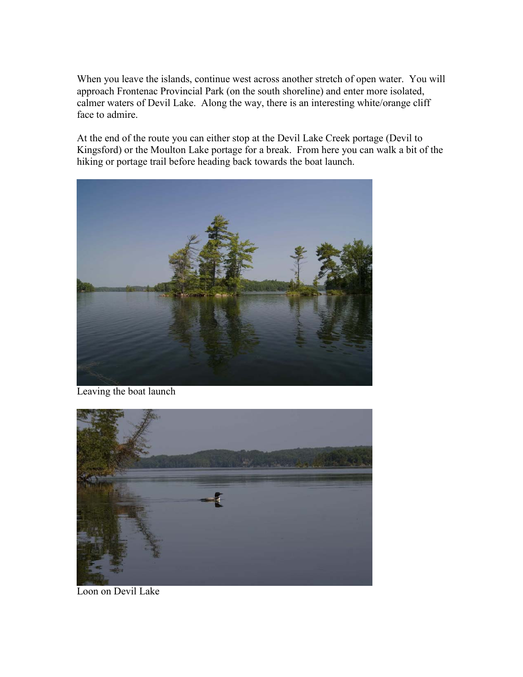When you leave the islands, continue west across another stretch of open water. You will approach Frontenac Provincial Park (on the south shoreline) and enter more isolated, calmer waters of Devil Lake. Along the way, there is an interesting white/orange cliff face to admire.

At the end of the route you can either stop at the Devil Lake Creek portage (Devil to Kingsford) or the Moulton Lake portage for a break. From here you can walk a bit of the hiking or portage trail before heading back towards the boat launch.



Leaving the boat launch



Loon on Devil Lake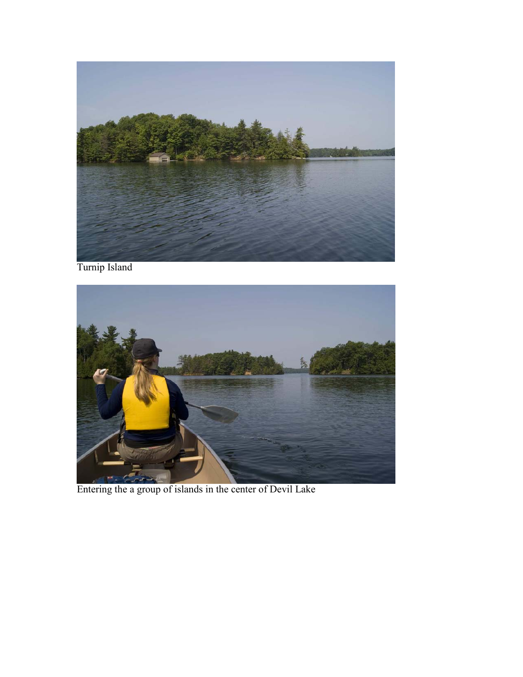

Turnip Island



Entering the a group of islands in the center of Devil Lake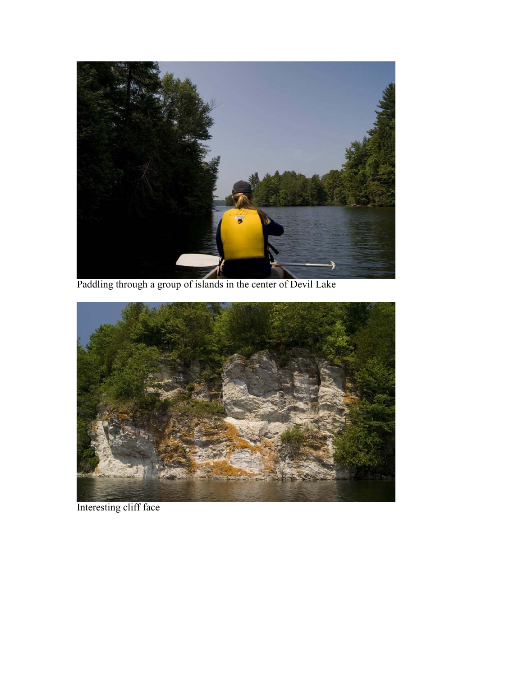

Paddling through a group of islands in the center of Devil Lake



Interesting cliff face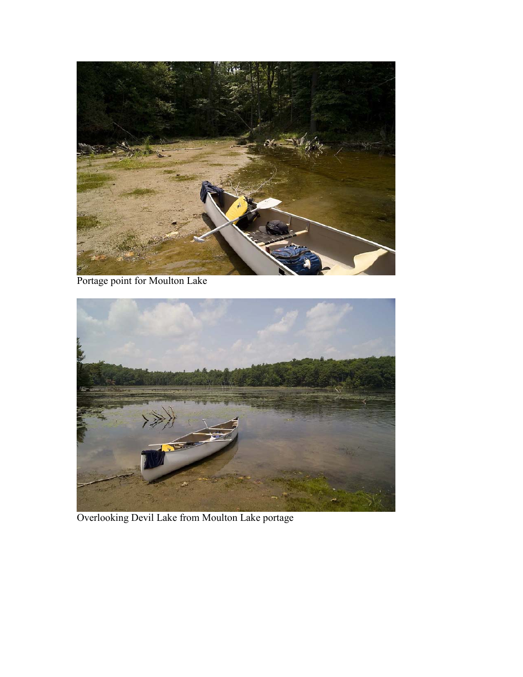

Portage point for Moulton Lake



Overlooking Devil Lake from Moulton Lake portage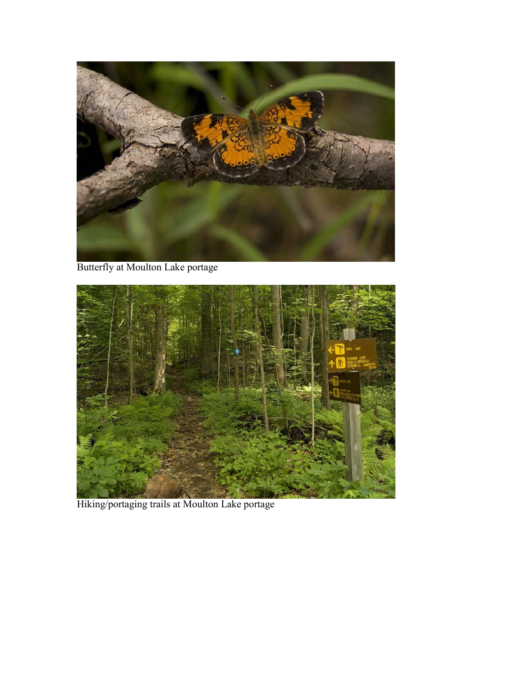

Butterfly at Moulton Lake portage



Hiking/portaging trails at Moulton Lake portage